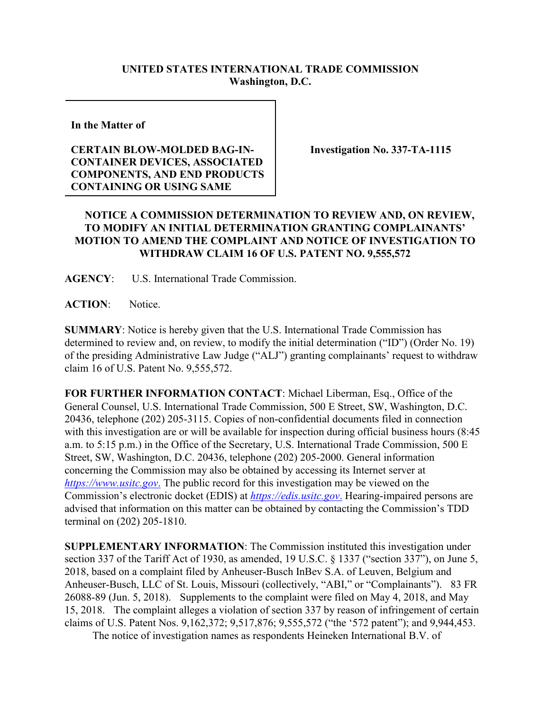## **UNITED STATES INTERNATIONAL TRADE COMMISSION Washington, D.C.**

**In the Matter of** 

## **CERTAIN BLOW-MOLDED BAG-IN-CONTAINER DEVICES, ASSOCIATED COMPONENTS, AND END PRODUCTS CONTAINING OR USING SAME**

**Investigation No. 337-TA-1115**

## **NOTICE A COMMISSION DETERMINATION TO REVIEW AND, ON REVIEW, TO MODIFY AN INITIAL DETERMINATION GRANTING COMPLAINANTS' MOTION TO AMEND THE COMPLAINT AND NOTICE OF INVESTIGATION TO WITHDRAW CLAIM 16 OF U.S. PATENT NO. 9,555,572**

**AGENCY**: U.S. International Trade Commission.

ACTION: Notice.

**SUMMARY**: Notice is hereby given that the U.S. International Trade Commission has determined to review and, on review, to modify the initial determination ("ID") (Order No. 19) of the presiding Administrative Law Judge ("ALJ") granting complainants' request to withdraw claim 16 of U.S. Patent No. 9,555,572.

**FOR FURTHER INFORMATION CONTACT**: Michael Liberman, Esq., Office of the General Counsel, U.S. International Trade Commission, 500 E Street, SW, Washington, D.C. 20436, telephone (202) 205-3115. Copies of non-confidential documents filed in connection with this investigation are or will be available for inspection during official business hours (8:45 a.m. to 5:15 p.m.) in the Office of the Secretary, U.S. International Trade Commission, 500 E Street, SW, Washington, D.C. 20436, telephone (202) 205-2000. General information concerning the Commission may also be obtained by accessing its Internet server at *[https://www.usitc.gov](https://www.usitc.gov./)*. The public record for this investigation may be viewed on the Commission's electronic docket (EDIS) at *[https://edis.usitc.gov](https://edis.usitc.gov./)*. Hearing-impaired persons are advised that information on this matter can be obtained by contacting the Commission's TDD terminal on (202) 205-1810.

**SUPPLEMENTARY INFORMATION**: The Commission instituted this investigation under section 337 of the Tariff Act of 1930, as amended, 19 U.S.C. § 1337 ("section 337"), on June 5, 2018, based on a complaint filed by Anheuser-Busch InBev S.A. of Leuven, Belgium and Anheuser-Busch, LLC of St. Louis, Missouri (collectively, "ABI," or "Complainants"). 83 FR 26088-89 (Jun. 5, 2018). Supplements to the complaint were filed on May 4, 2018, and May 15, 2018. The complaint alleges a violation of section 337 by reason of infringement of certain claims of U.S. Patent Nos. 9,162,372; 9,517,876; 9,555,572 ("the '572 patent"); and 9,944,453.

The notice of investigation names as respondents Heineken International B.V. of